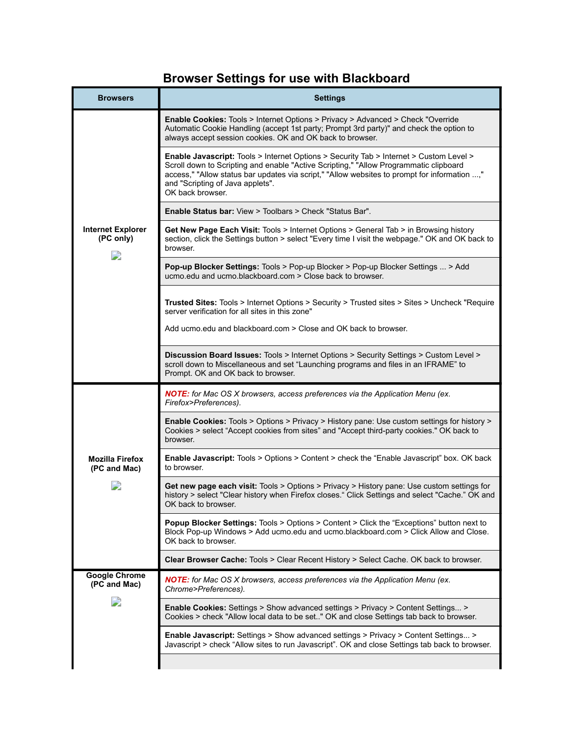## **Browser Settings for use with Blackboard**

| <b>Browsers</b>                           | <b>Settings</b>                                                                                                                                                                                                                                                                                                                         |
|-------------------------------------------|-----------------------------------------------------------------------------------------------------------------------------------------------------------------------------------------------------------------------------------------------------------------------------------------------------------------------------------------|
| <b>Internet Explorer</b><br>(PC only)     | <b>Enable Cookies: Tools &gt; Internet Options &gt; Privacy &gt; Advanced &gt; Check "Override"</b><br>Automatic Cookie Handling (accept 1st party; Prompt 3rd party)" and check the option to<br>always accept session cookies. OK and OK back to browser.                                                                             |
|                                           | Enable Javascript: Tools > Internet Options > Security Tab > Internet > Custom Level ><br>Scroll down to Scripting and enable "Active Scripting," "Allow Programmatic clipboard<br>access," "Allow status bar updates via script," "Allow websites to prompt for information ,"<br>and "Scripting of Java applets".<br>OK back browser. |
|                                           | <b>Enable Status bar:</b> View > Toolbars > Check "Status Bar".                                                                                                                                                                                                                                                                         |
|                                           | Get New Page Each Visit: Tools > Internet Options > General Tab > in Browsing history<br>section, click the Settings button > select "Every time I visit the webpage." OK and OK back to<br>browser.                                                                                                                                    |
|                                           | Pop-up Blocker Settings: Tools > Pop-up Blocker > Pop-up Blocker Settings  > Add<br>ucmo.edu and ucmo.blackboard.com > Close back to browser.                                                                                                                                                                                           |
|                                           | <b>Trusted Sites:</b> Tools > Internet Options > Security > Trusted sites > Sites > Uncheck "Require<br>server verification for all sites in this zone"                                                                                                                                                                                 |
|                                           | Add ucmo.edu and blackboard.com > Close and OK back to browser.                                                                                                                                                                                                                                                                         |
|                                           | Discussion Board Issues: Tools > Internet Options > Security Settings > Custom Level ><br>scroll down to Miscellaneous and set "Launching programs and files in an IFRAME" to<br>Prompt. OK and OK back to browser.                                                                                                                     |
| <b>Mozilla Firefox</b><br>(PC and Mac)    | <b>NOTE:</b> for Mac OS X browsers, access preferences via the Application Menu (ex.<br>Firefox>Preferences).                                                                                                                                                                                                                           |
|                                           | Enable Cookies: Tools > Options > Privacy > History pane: Use custom settings for history ><br>Cookies > select "Accept cookies from sites" and "Accept third-party cookies." OK back to<br>browser.                                                                                                                                    |
|                                           | <b>Enable Javascript:</b> Tools > Options > Content > check the "Enable Javascript" box. OK back<br>to browser.                                                                                                                                                                                                                         |
|                                           | Get new page each visit: Tools > Options > Privacy > History pane: Use custom settings for<br>history > select "Clear history when Firefox closes." Click Settings and select "Cache." OK and<br>OK back to browser.                                                                                                                    |
|                                           | <b>Popup Blocker Settings:</b> Tools > Options > Content > Click the "Exceptions" button next to<br>Block Pop-up Windows > Add ucmo.edu and ucmo.blackboard.com > Click Allow and Close.<br>OK back to browser.                                                                                                                         |
|                                           | Clear Browser Cache: Tools > Clear Recent History > Select Cache. OK back to browser.                                                                                                                                                                                                                                                   |
| <b>Google Chrome</b><br>(PC and Mac)<br>D | <b>NOTE:</b> for Mac OS X browsers, access preferences via the Application Menu (ex.<br>Chrome>Preferences).                                                                                                                                                                                                                            |
|                                           | <b>Enable Cookies:</b> Settings > Show advanced settings > Privacy > Content Settings ><br>Cookies > check "Allow local data to be set" OK and close Settings tab back to browser.                                                                                                                                                      |
|                                           | <b>Enable Javascript:</b> Settings > Show advanced settings > Privacy > Content Settings ><br>Javascript > check "Allow sites to run Javascript". OK and close Settings tab back to browser.                                                                                                                                            |